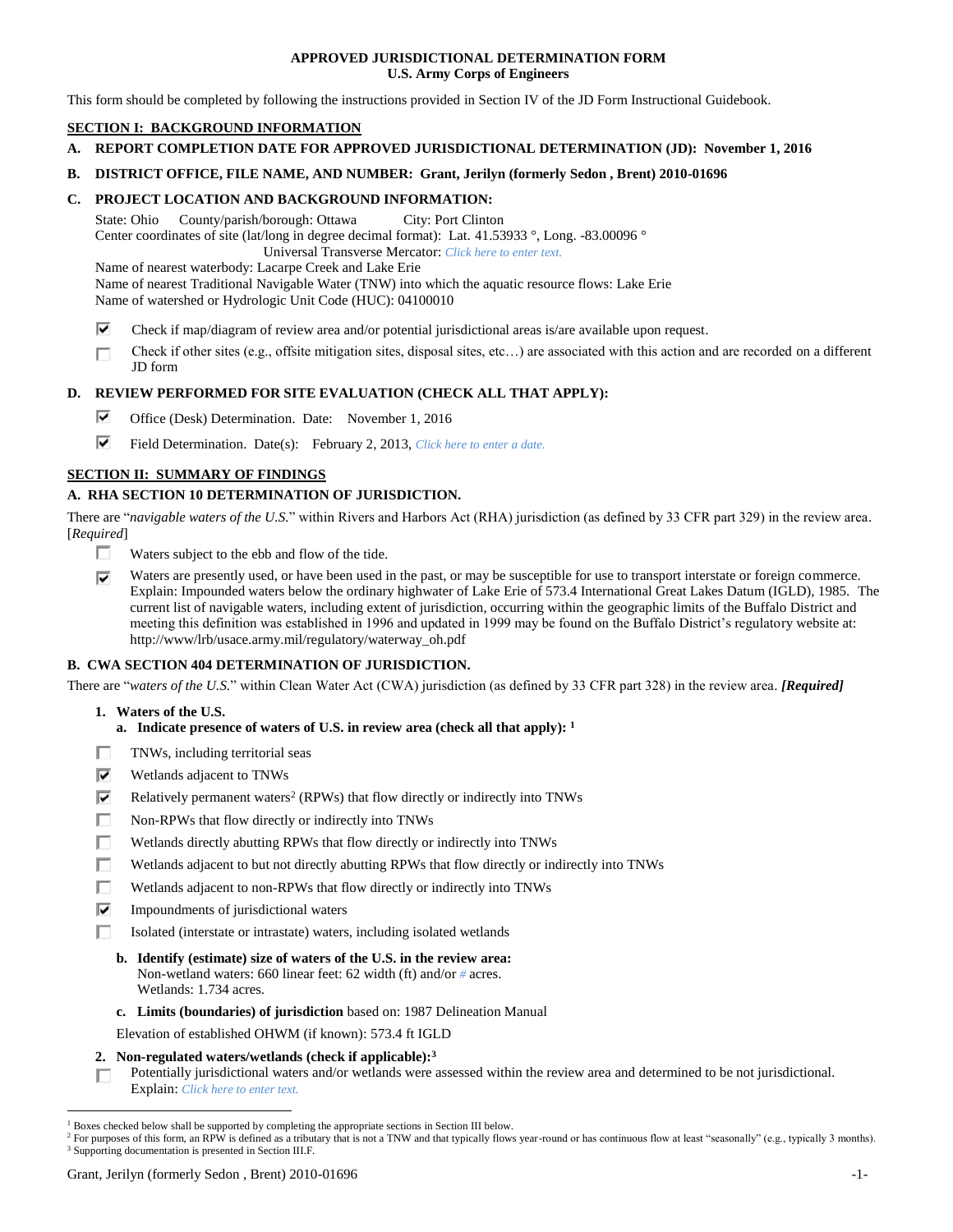## **APPROVED JURISDICTIONAL DETERMINATION FORM U.S. Army Corps of Engineers**

This form should be completed by following the instructions provided in Section IV of the JD Form Instructional Guidebook.

# **SECTION I: BACKGROUND INFORMATION**

- **A. REPORT COMPLETION DATE FOR APPROVED JURISDICTIONAL DETERMINATION (JD): November 1, 2016**
- **B. DISTRICT OFFICE, FILE NAME, AND NUMBER: Grant, Jerilyn (formerly Sedon , Brent) 2010-01696**

## **C. PROJECT LOCATION AND BACKGROUND INFORMATION:**

State: Ohio County/parish/borough: Ottawa City: Port Clinton Center coordinates of site (lat/long in degree decimal format): Lat. 41.53933 °, Long. -83.00096 ° Universal Transverse Mercator: *Click here to enter text.*

Name of nearest waterbody: Lacarpe Creek and Lake Erie

Name of nearest Traditional Navigable Water (TNW) into which the aquatic resource flows: Lake Erie Name of watershed or Hydrologic Unit Code (HUC): 04100010

- ⊽ Check if map/diagram of review area and/or potential jurisdictional areas is/are available upon request.
- Check if other sites (e.g., offsite mitigation sites, disposal sites, etc…) are associated with this action and are recorded on a different п JD form

# **D. REVIEW PERFORMED FOR SITE EVALUATION (CHECK ALL THAT APPLY):**

- ⊽ Office (Desk) Determination. Date: November 1, 2016
- ⊽. Field Determination. Date(s): February 2, 2013, *Click here to enter a date.*

# **SECTION II: SUMMARY OF FINDINGS**

# **A. RHA SECTION 10 DETERMINATION OF JURISDICTION.**

There are "*navigable waters of the U.S.*" within Rivers and Harbors Act (RHA) jurisdiction (as defined by 33 CFR part 329) in the review area. [*Required*]

- П. Waters subject to the ebb and flow of the tide.
- ⊽ Waters are presently used, or have been used in the past, or may be susceptible for use to transport interstate or foreign commerce. Explain: Impounded waters below the ordinary highwater of Lake Erie of 573.4 International Great Lakes Datum (IGLD), 1985. The current list of navigable waters, including extent of jurisdiction, occurring within the geographic limits of the Buffalo District and meeting this definition was established in 1996 and updated in 1999 may be found on the Buffalo District's regulatory website at: http://www/lrb/usace.army.mil/regulatory/waterway\_oh.pdf

# **B. CWA SECTION 404 DETERMINATION OF JURISDICTION.**

There are "*waters of the U.S.*" within Clean Water Act (CWA) jurisdiction (as defined by 33 CFR part 328) in the review area. *[Required]*

- **1. Waters of the U.S.**
	- **a. Indicate presence of waters of U.S. in review area (check all that apply): 1**
- п TNWs, including territorial seas
- ⊽ Wetlands adjacent to TNWs
- ⊽ Relatively permanent waters<sup>2</sup> (RPWs) that flow directly or indirectly into TNWs
- п Non-RPWs that flow directly or indirectly into TNWs
- Wetlands directly abutting RPWs that flow directly or indirectly into TNWs п
- Wetlands adjacent to but not directly abutting RPWs that flow directly or indirectly into TNWs п
- Wetlands adjacent to non-RPWs that flow directly or indirectly into TNWs
- ⊽ Impoundments of jurisdictional waters
- Isolated (interstate or intrastate) waters, including isolated wetlands п.
	- **b. Identify (estimate) size of waters of the U.S. in the review area:** Non-wetland waters: 660 linear feet: 62 width (ft) and/or *#* acres. Wetlands: 1.734 acres.
	- **c. Limits (boundaries) of jurisdiction** based on: 1987 Delineation Manual

Elevation of established OHWM (if known): 573.4 ft IGLD

- **2. Non-regulated waters/wetlands (check if applicable): 3**
- Potentially jurisdictional waters and/or wetlands were assessed within the review area and determined to be not jurisdictional. п Explain: *Click here to enter text.*

 $1$  Boxes checked below shall be supported by completing the appropriate sections in Section III below.

<sup>&</sup>lt;sup>2</sup> For purposes of this form, an RPW is defined as a tributary that is not a TNW and that typically flows year-round or has continuous flow at least "seasonally" (e.g., typically 3 months). <sup>3</sup> Supporting documentation is presented in Section III.F.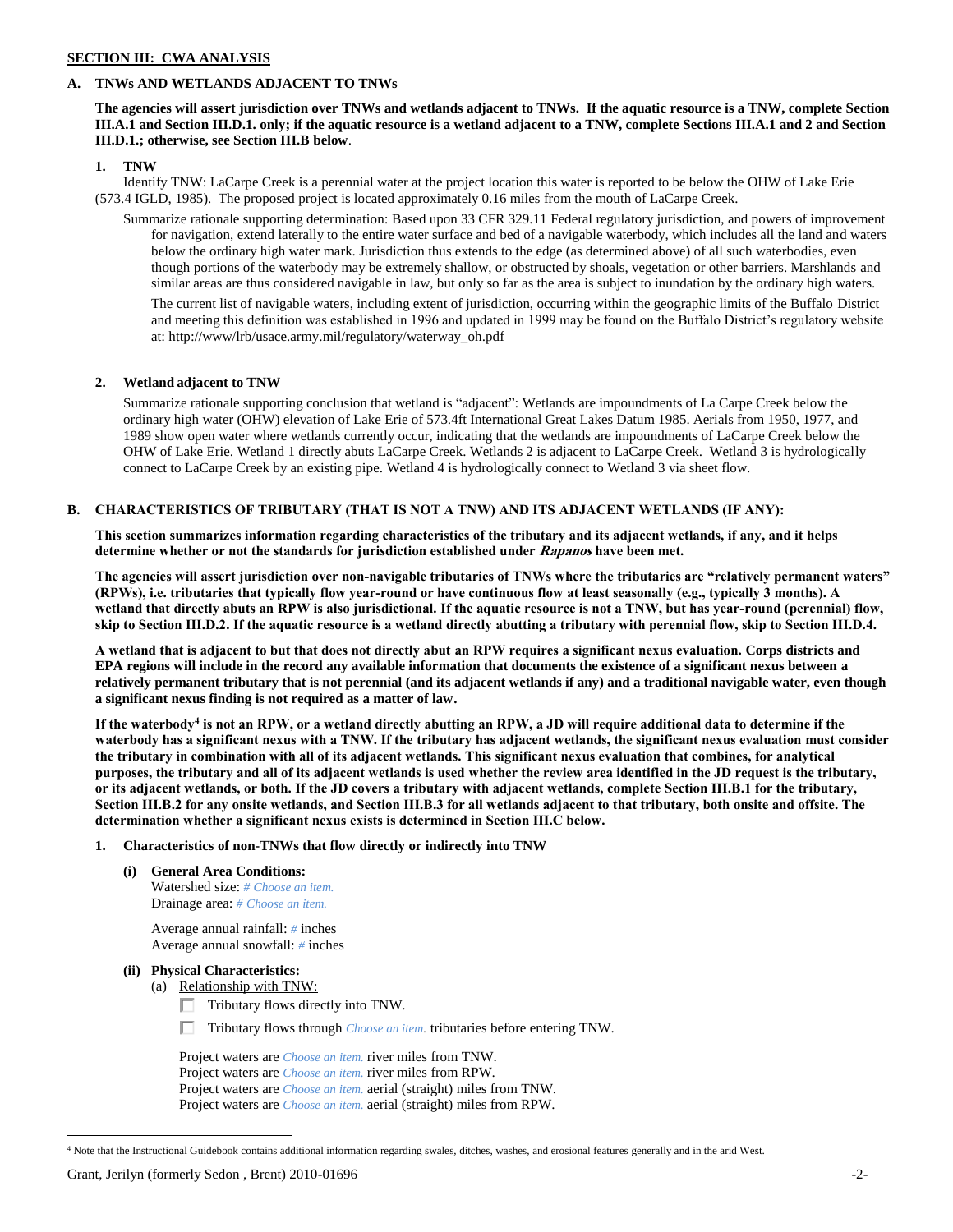# **SECTION III: CWA ANALYSIS**

## **A. TNWs AND WETLANDS ADJACENT TO TNWs**

**The agencies will assert jurisdiction over TNWs and wetlands adjacent to TNWs. If the aquatic resource is a TNW, complete Section III.A.1 and Section III.D.1. only; if the aquatic resource is a wetland adjacent to a TNW, complete Sections III.A.1 and 2 and Section III.D.1.; otherwise, see Section III.B below**.

## **1. TNW**

Identify TNW: LaCarpe Creek is a perennial water at the project location this water is reported to be below the OHW of Lake Erie (573.4 IGLD, 1985). The proposed project is located approximately 0.16 miles from the mouth of LaCarpe Creek.

Summarize rationale supporting determination: Based upon 33 CFR 329.11 Federal regulatory jurisdiction, and powers of improvement for navigation, extend laterally to the entire water surface and bed of a navigable waterbody, which includes all the land and waters below the ordinary high water mark. Jurisdiction thus extends to the edge (as determined above) of all such waterbodies, even though portions of the waterbody may be extremely shallow, or obstructed by shoals, vegetation or other barriers. Marshlands and similar areas are thus considered navigable in law, but only so far as the area is subject to inundation by the ordinary high waters.

The current list of navigable waters, including extent of jurisdiction, occurring within the geographic limits of the Buffalo District and meeting this definition was established in 1996 and updated in 1999 may be found on the Buffalo District's regulatory website at: http://www/lrb/usace.army.mil/regulatory/waterway\_oh.pdf

## **2. Wetland adjacent to TNW**

Summarize rationale supporting conclusion that wetland is "adjacent": Wetlands are impoundments of La Carpe Creek below the ordinary high water (OHW) elevation of Lake Erie of 573.4ft International Great Lakes Datum 1985. Aerials from 1950, 1977, and 1989 show open water where wetlands currently occur, indicating that the wetlands are impoundments of LaCarpe Creek below the OHW of Lake Erie. Wetland 1 directly abuts LaCarpe Creek. Wetlands 2 is adjacent to LaCarpe Creek. Wetland 3 is hydrologically connect to LaCarpe Creek by an existing pipe. Wetland 4 is hydrologically connect to Wetland 3 via sheet flow.

## **B. CHARACTERISTICS OF TRIBUTARY (THAT IS NOT A TNW) AND ITS ADJACENT WETLANDS (IF ANY):**

**This section summarizes information regarding characteristics of the tributary and its adjacent wetlands, if any, and it helps determine whether or not the standards for jurisdiction established under Rapanos have been met.** 

**The agencies will assert jurisdiction over non-navigable tributaries of TNWs where the tributaries are "relatively permanent waters" (RPWs), i.e. tributaries that typically flow year-round or have continuous flow at least seasonally (e.g., typically 3 months). A wetland that directly abuts an RPW is also jurisdictional. If the aquatic resource is not a TNW, but has year-round (perennial) flow, skip to Section III.D.2. If the aquatic resource is a wetland directly abutting a tributary with perennial flow, skip to Section III.D.4.**

**A wetland that is adjacent to but that does not directly abut an RPW requires a significant nexus evaluation. Corps districts and EPA regions will include in the record any available information that documents the existence of a significant nexus between a relatively permanent tributary that is not perennial (and its adjacent wetlands if any) and a traditional navigable water, even though a significant nexus finding is not required as a matter of law.**

**If the waterbody<sup>4</sup> is not an RPW, or a wetland directly abutting an RPW, a JD will require additional data to determine if the waterbody has a significant nexus with a TNW. If the tributary has adjacent wetlands, the significant nexus evaluation must consider the tributary in combination with all of its adjacent wetlands. This significant nexus evaluation that combines, for analytical purposes, the tributary and all of its adjacent wetlands is used whether the review area identified in the JD request is the tributary, or its adjacent wetlands, or both. If the JD covers a tributary with adjacent wetlands, complete Section III.B.1 for the tributary, Section III.B.2 for any onsite wetlands, and Section III.B.3 for all wetlands adjacent to that tributary, both onsite and offsite. The determination whether a significant nexus exists is determined in Section III.C below.**

### **1. Characteristics of non-TNWs that flow directly or indirectly into TNW**

**(i) General Area Conditions:** Watershed size: *# Choose an item.* Drainage area: *# Choose an item.*

> Average annual rainfall: *#* inches Average annual snowfall: *#* inches

### **(ii) Physical Characteristics:**

(a) Relationship with TNW:

- Tributary flows directly into TNW.
- Tributary flows through *Choose an item.* tributaries before entering TNW.

Project waters are *Choose an item.* river miles from TNW. Project waters are *Choose an item.* river miles from RPW. Project waters are *Choose an item.* aerial (straight) miles from TNW. Project waters are *Choose an item.* aerial (straight) miles from RPW.

<sup>4</sup> Note that the Instructional Guidebook contains additional information regarding swales, ditches, washes, and erosional features generally and in the arid West.

Grant, Jerilyn (formerly Sedon , Brent) 2010-01696 -2-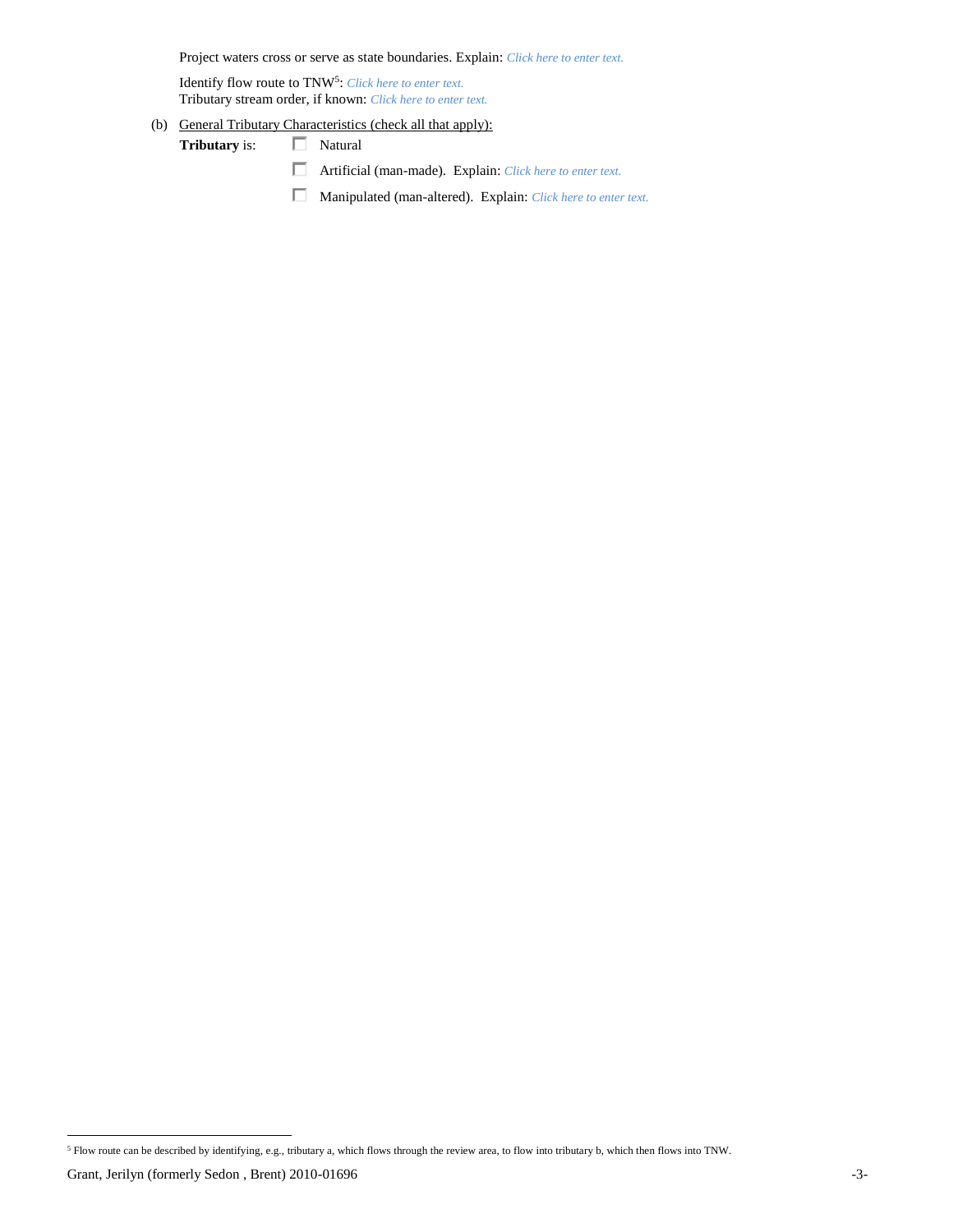Project waters cross or serve as state boundaries. Explain: *Click here to enter text.*

Identify flow route to TNW<sup>5</sup>: *Click here to enter text.* Tributary stream order, if known: *Click here to enter text.*

(b) General Tributary Characteristics (check all that apply):

Tributary is:  $\Box$  Natural

Artificial (man-made). Explain: *Click here to enter text.*

Manipulated (man-altered). Explain: *Click here to enter text.*

<sup>5</sup> Flow route can be described by identifying, e.g., tributary a, which flows through the review area, to flow into tributary b, which then flows into TNW.

Grant, Jerilyn (formerly Sedon , Brent) 2010-01696 -3-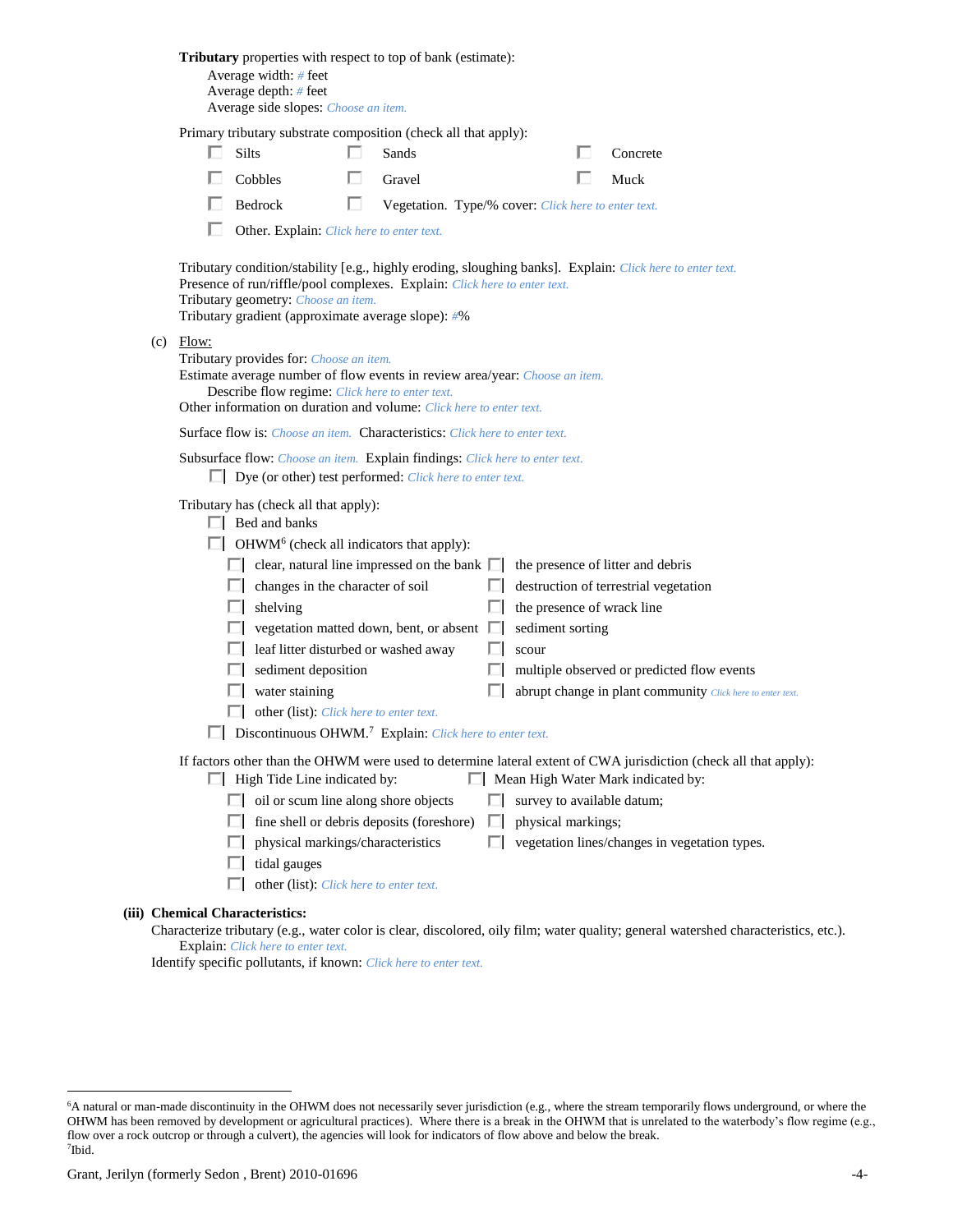|                                                                                                                              | Tributary properties with respect to top of bank (estimate):<br>Average width: # feet<br>Average depth: # feet<br>Average side slopes: Choose an item.                                                                                           |   |                                                     |   |                            |  |                                                                                                                                     |  |  |  |
|------------------------------------------------------------------------------------------------------------------------------|--------------------------------------------------------------------------------------------------------------------------------------------------------------------------------------------------------------------------------------------------|---|-----------------------------------------------------|---|----------------------------|--|-------------------------------------------------------------------------------------------------------------------------------------|--|--|--|
|                                                                                                                              | Primary tributary substrate composition (check all that apply):                                                                                                                                                                                  |   |                                                     |   |                            |  |                                                                                                                                     |  |  |  |
| Silts                                                                                                                        |                                                                                                                                                                                                                                                  |   | Sands                                               |   |                            |  | Concrete                                                                                                                            |  |  |  |
|                                                                                                                              | Cobbles                                                                                                                                                                                                                                          |   | Gravel                                              |   |                            |  | Muck                                                                                                                                |  |  |  |
|                                                                                                                              | Bedrock                                                                                                                                                                                                                                          | ш | Vegetation. Type/% cover: Click here to enter text. |   |                            |  |                                                                                                                                     |  |  |  |
|                                                                                                                              | Other. Explain: Click here to enter text.                                                                                                                                                                                                        |   |                                                     |   |                            |  |                                                                                                                                     |  |  |  |
|                                                                                                                              | Presence of run/riffle/pool complexes. Explain: Click here to enter text.<br>Tributary geometry: Choose an item.<br>Tributary gradient (approximate average slope): #%                                                                           |   |                                                     |   |                            |  | Tributary condition/stability [e.g., highly eroding, sloughing banks]. Explain: Click here to enter text.                           |  |  |  |
| $(c)$ Flow:                                                                                                                  | Tributary provides for: Choose an item.<br>Estimate average number of flow events in review area/year: Choose an item.<br>Describe flow regime: Click here to enter text.<br>Other information on duration and volume: Click here to enter text. |   |                                                     |   |                            |  |                                                                                                                                     |  |  |  |
|                                                                                                                              | Surface flow is: Choose an item. Characteristics: Click here to enter text.                                                                                                                                                                      |   |                                                     |   |                            |  |                                                                                                                                     |  |  |  |
|                                                                                                                              | Subsurface flow: Choose an item. Explain findings: Click here to enter text.<br>$\Box$ Dye (or other) test performed: <i>Click here to enter text.</i>                                                                                           |   |                                                     |   |                            |  |                                                                                                                                     |  |  |  |
| Tributary has (check all that apply):<br>$\Box$ Bed and banks<br>$\Box$ OHWM <sup>6</sup> (check all indicators that apply): |                                                                                                                                                                                                                                                  |   |                                                     |   |                            |  |                                                                                                                                     |  |  |  |
|                                                                                                                              | $\Box$ clear, natural line impressed on the bank $\Box$                                                                                                                                                                                          |   |                                                     |   |                            |  | the presence of litter and debris                                                                                                   |  |  |  |
|                                                                                                                              | $\Box$ changes in the character of soil                                                                                                                                                                                                          |   |                                                     | ш |                            |  | destruction of terrestrial vegetation                                                                                               |  |  |  |
| L.                                                                                                                           | shelving                                                                                                                                                                                                                                         |   |                                                     |   | the presence of wrack line |  |                                                                                                                                     |  |  |  |
|                                                                                                                              | $\Box$ vegetation matted down, bent, or absent $\Box$                                                                                                                                                                                            |   |                                                     |   | sediment sorting           |  |                                                                                                                                     |  |  |  |
|                                                                                                                              | leaf litter disturbed or washed away                                                                                                                                                                                                             |   |                                                     |   | scour                      |  |                                                                                                                                     |  |  |  |
|                                                                                                                              | sediment deposition                                                                                                                                                                                                                              |   |                                                     |   |                            |  | multiple observed or predicted flow events                                                                                          |  |  |  |
|                                                                                                                              | water staining                                                                                                                                                                                                                                   |   |                                                     |   |                            |  | abrupt change in plant community Click here to enter text.                                                                          |  |  |  |
|                                                                                                                              | other (list): Click here to enter text.                                                                                                                                                                                                          |   |                                                     |   |                            |  |                                                                                                                                     |  |  |  |
|                                                                                                                              | Discontinuous OHWM. <sup>7</sup> Explain: Click here to enter text.                                                                                                                                                                              |   |                                                     |   |                            |  |                                                                                                                                     |  |  |  |
|                                                                                                                              | If factors other than the OHWM were used to determine lateral extent of CWA jurisdiction (check all that apply):<br>$\Box$ High Tide Line indicated by:<br>Mean High Water Mark indicated by:                                                    |   |                                                     |   |                            |  |                                                                                                                                     |  |  |  |
|                                                                                                                              | $\Box$ oil or scum line along shore objects                                                                                                                                                                                                      |   |                                                     |   | survey to available datum; |  |                                                                                                                                     |  |  |  |
| L.                                                                                                                           | fine shell or debris deposits (foreshore)                                                                                                                                                                                                        |   |                                                     | ш | physical markings;         |  |                                                                                                                                     |  |  |  |
| ш                                                                                                                            | physical markings/characteristics                                                                                                                                                                                                                |   |                                                     | П |                            |  | vegetation lines/changes in vegetation types.                                                                                       |  |  |  |
|                                                                                                                              | tidal gauges                                                                                                                                                                                                                                     |   |                                                     |   |                            |  |                                                                                                                                     |  |  |  |
|                                                                                                                              | other (list): Click here to enter text.                                                                                                                                                                                                          |   |                                                     |   |                            |  |                                                                                                                                     |  |  |  |
| (iii) Chemical Characteristics:                                                                                              |                                                                                                                                                                                                                                                  |   |                                                     |   |                            |  |                                                                                                                                     |  |  |  |
|                                                                                                                              |                                                                                                                                                                                                                                                  |   |                                                     |   |                            |  | Characterize tributary (e.g., water color is clear, discolored, oily film; water quality; general watershed characteristics, etc.). |  |  |  |

Explain: *Click here to enter text.*

Identify specific pollutants, if known: *Click here to enter text.*

<sup>6</sup>A natural or man-made discontinuity in the OHWM does not necessarily sever jurisdiction (e.g., where the stream temporarily flows underground, or where the OHWM has been removed by development or agricultural practices). Where there is a break in the OHWM that is unrelated to the waterbody's flow regime (e.g., flow over a rock outcrop or through a culvert), the agencies will look for indicators of flow above and below the break. 7 Ibid.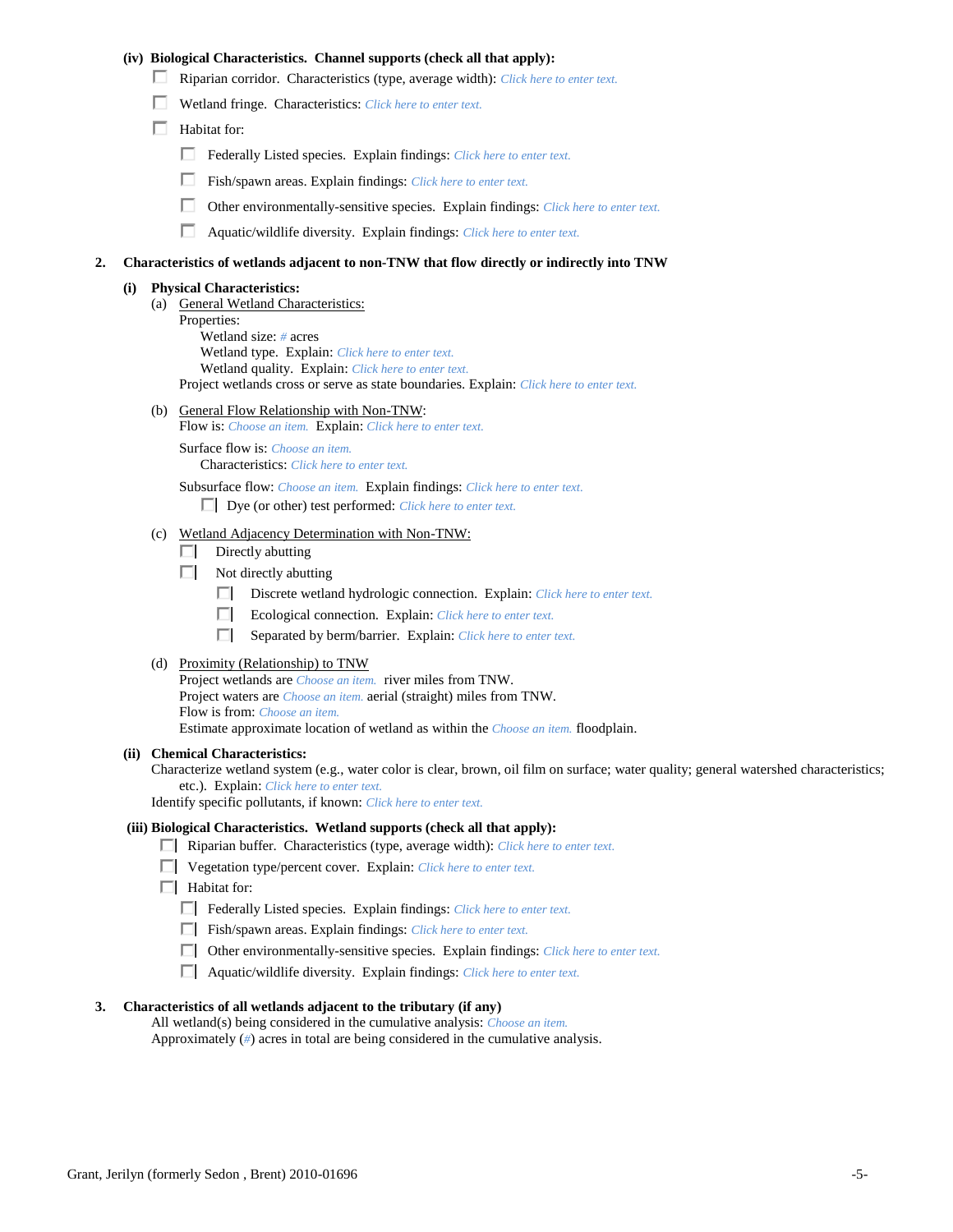## **(iv) Biological Characteristics. Channel supports (check all that apply):**

- Riparian corridor. Characteristics (type, average width): *Click here to enter text.*
- Wetland fringe. Characteristics: *Click here to enter text.*
- $\Box$  Habitat for:
	- Federally Listed species. Explain findings: *Click here to enter text.*
	- Fish/spawn areas. Explain findings: *Click here to enter text.*
	- Other environmentally-sensitive species. Explain findings: *Click here to enter text.*
	- П. Aquatic/wildlife diversity. Explain findings: *Click here to enter text.*

#### **2. Characteristics of wetlands adjacent to non-TNW that flow directly or indirectly into TNW**

#### **(i) Physical Characteristics:**

- (a) General Wetland Characteristics:
	- Properties:

Wetland size: *#* acres Wetland type. Explain: *Click here to enter text.*

Wetland quality. Explain: *Click here to enter text.*

Project wetlands cross or serve as state boundaries. Explain: *Click here to enter text.*

(b) General Flow Relationship with Non-TNW: Flow is: *Choose an item.* Explain: *Click here to enter text.*

Surface flow is: *Choose an item.* Characteristics: *Click here to enter text.*

Subsurface flow: *Choose an item.* Explain findings: *Click here to enter text.*

Dye (or other) test performed: *Click here to enter text.*

### (c) Wetland Adjacency Determination with Non-TNW:

- $\Box$  Directly abutting
- Not directly abutting
	- Discrete wetland hydrologic connection. Explain: *Click here to enter text.*
	- Ecological connection. Explain: *Click here to enter text.*
	- $\Box$ Separated by berm/barrier. Explain: *Click here to enter text.*
- (d) Proximity (Relationship) to TNW

Project wetlands are *Choose an item.* river miles from TNW. Project waters are *Choose an item.* aerial (straight) miles from TNW. Flow is from: *Choose an item.* Estimate approximate location of wetland as within the *Choose an item.* floodplain.

#### **(ii) Chemical Characteristics:**

Characterize wetland system (e.g., water color is clear, brown, oil film on surface; water quality; general watershed characteristics; etc.). Explain: *Click here to enter text.*

Identify specific pollutants, if known: *Click here to enter text.*

### **(iii) Biological Characteristics. Wetland supports (check all that apply):**

- Riparian buffer. Characteristics (type, average width): *Click here to enter text.*
- Vegetation type/percent cover. Explain: *Click here to enter text.*
- $\Box$  Habitat for:
	- Federally Listed species. Explain findings: *Click here to enter text*.
	- Fish/spawn areas. Explain findings: *Click here to enter text*.
	- Other environmentally-sensitive species. Explain findings: *Click here to enter text.*
	- Aquatic/wildlife diversity. Explain findings: *Click here to enter text.*

### **3. Characteristics of all wetlands adjacent to the tributary (if any)**

All wetland(s) being considered in the cumulative analysis: *Choose an item.* Approximately (*#*) acres in total are being considered in the cumulative analysis.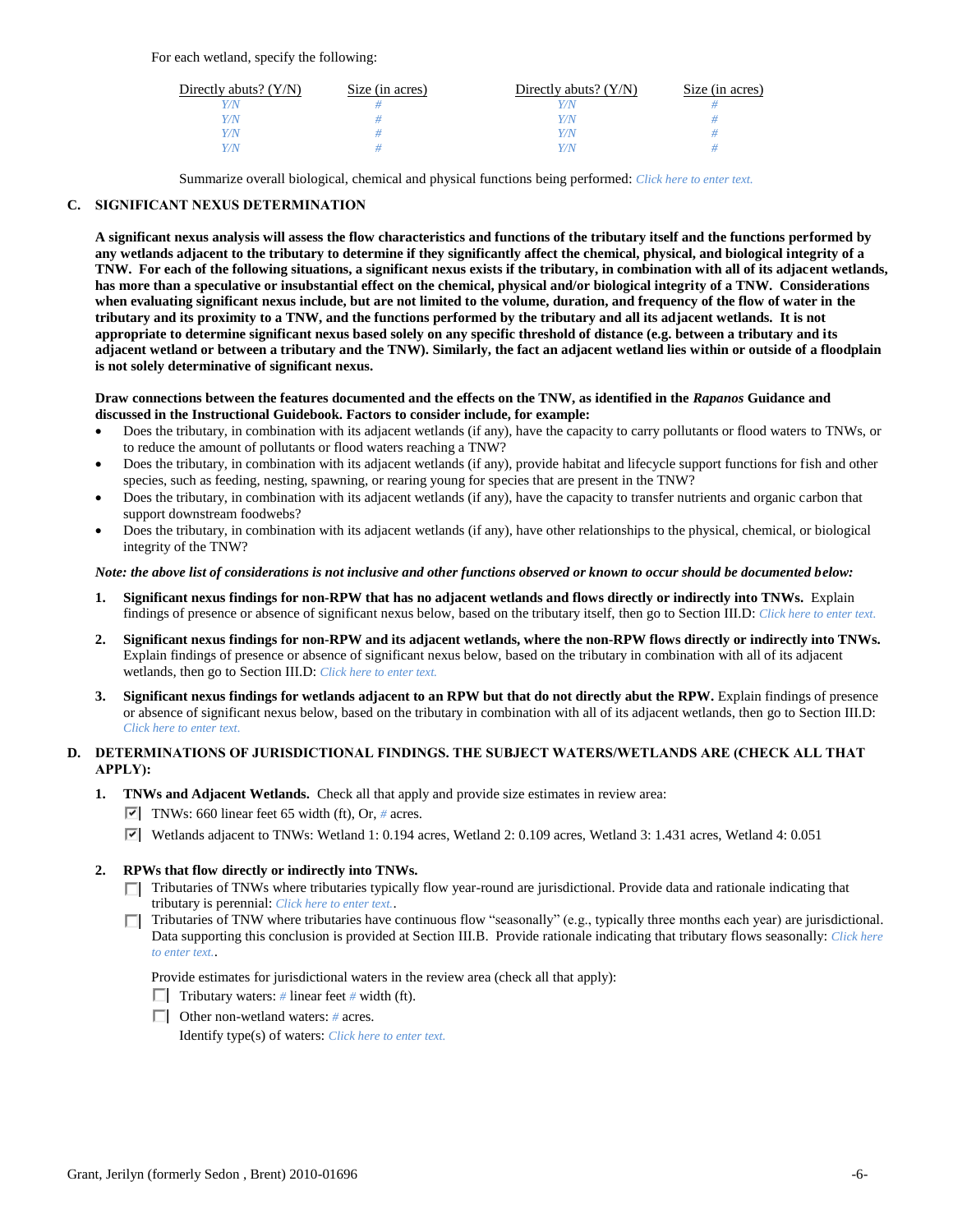For each wetland, specify the following:

| Directly abuts? $(Y/N)$ | Size (in acres) | Directly abuts? $(Y/N)$ | Size (in acres) |
|-------------------------|-----------------|-------------------------|-----------------|
| V/N                     |                 |                         |                 |
| Y/N                     |                 | Y/N                     |                 |
| Y/N                     |                 | Y/N                     |                 |
| Y/N                     |                 | 77 N                    |                 |

Summarize overall biological, chemical and physical functions being performed: *Click here to enter text.*

# **C. SIGNIFICANT NEXUS DETERMINATION**

**A significant nexus analysis will assess the flow characteristics and functions of the tributary itself and the functions performed by any wetlands adjacent to the tributary to determine if they significantly affect the chemical, physical, and biological integrity of a TNW. For each of the following situations, a significant nexus exists if the tributary, in combination with all of its adjacent wetlands, has more than a speculative or insubstantial effect on the chemical, physical and/or biological integrity of a TNW. Considerations when evaluating significant nexus include, but are not limited to the volume, duration, and frequency of the flow of water in the tributary and its proximity to a TNW, and the functions performed by the tributary and all its adjacent wetlands. It is not appropriate to determine significant nexus based solely on any specific threshold of distance (e.g. between a tributary and its adjacent wetland or between a tributary and the TNW). Similarly, the fact an adjacent wetland lies within or outside of a floodplain is not solely determinative of significant nexus.** 

### **Draw connections between the features documented and the effects on the TNW, as identified in the** *Rapanos* **Guidance and discussed in the Instructional Guidebook. Factors to consider include, for example:**

- Does the tributary, in combination with its adjacent wetlands (if any), have the capacity to carry pollutants or flood waters to TNWs, or to reduce the amount of pollutants or flood waters reaching a TNW?
- Does the tributary, in combination with its adjacent wetlands (if any), provide habitat and lifecycle support functions for fish and other species, such as feeding, nesting, spawning, or rearing young for species that are present in the TNW?
- Does the tributary, in combination with its adjacent wetlands (if any), have the capacity to transfer nutrients and organic carbon that support downstream foodwebs?
- Does the tributary, in combination with its adjacent wetlands (if any), have other relationships to the physical, chemical, or biological integrity of the TNW?

## *Note: the above list of considerations is not inclusive and other functions observed or known to occur should be documented below:*

- **1. Significant nexus findings for non-RPW that has no adjacent wetlands and flows directly or indirectly into TNWs.** Explain findings of presence or absence of significant nexus below, based on the tributary itself, then go to Section III.D: *Click here to enter text.*
- **2. Significant nexus findings for non-RPW and its adjacent wetlands, where the non-RPW flows directly or indirectly into TNWs.**  Explain findings of presence or absence of significant nexus below, based on the tributary in combination with all of its adjacent wetlands, then go to Section III.D: *Click here to enter text.*
- **3. Significant nexus findings for wetlands adjacent to an RPW but that do not directly abut the RPW.** Explain findings of presence or absence of significant nexus below, based on the tributary in combination with all of its adjacent wetlands, then go to Section III.D: *Click here to enter text.*

# **D. DETERMINATIONS OF JURISDICTIONAL FINDINGS. THE SUBJECT WATERS/WETLANDS ARE (CHECK ALL THAT APPLY):**

- **1. TNWs and Adjacent Wetlands.** Check all that apply and provide size estimates in review area:
	- TNWs: 660 linear feet 65 width (ft), Or,  $\#$  acres.
		- Wetlands adjacent to TNWs: Wetland 1: 0.194 acres, Wetland 2: 0.109 acres, Wetland 3: 1.431 acres, Wetland 4: 0.051

# **2. RPWs that flow directly or indirectly into TNWs.**

- Tributaries of TNWs where tributaries typically flow year-round are jurisdictional. Provide data and rationale indicating that tributary is perennial: *Click here to enter text.*.
- Tributaries of TNW where tributaries have continuous flow "seasonally" (e.g., typically three months each year) are jurisdictional. Data supporting this conclusion is provided at Section III.B. Provide rationale indicating that tributary flows seasonally: *Click here to enter text.*.

Provide estimates for jurisdictional waters in the review area (check all that apply):

- **Tributary waters:** # linear feet # width (ft).
- Other non-wetland waters: *#* acres.

Identify type(s) of waters: *Click here to enter text.*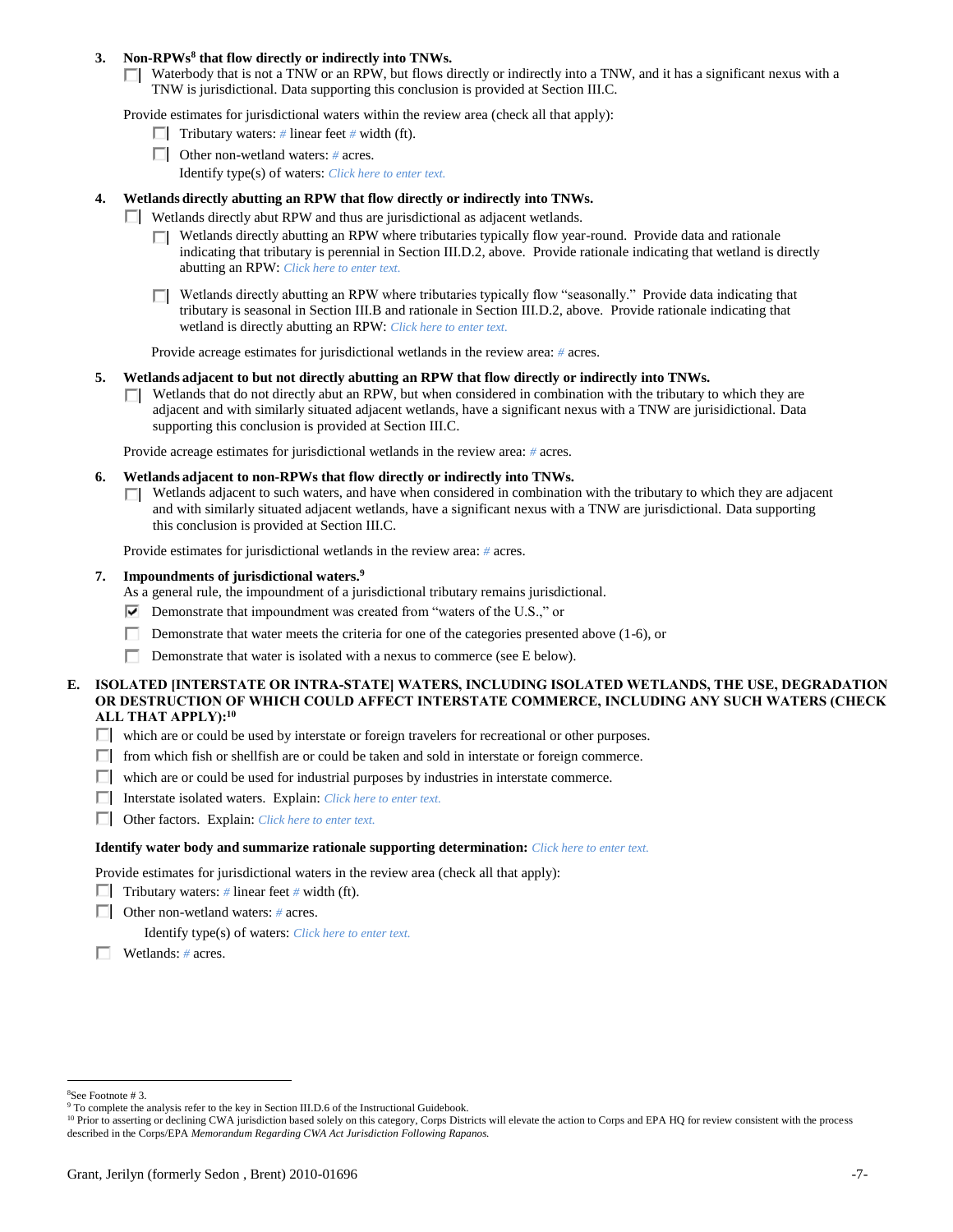### **3. Non-RPWs<sup>8</sup> that flow directly or indirectly into TNWs.**

 $\Box$  Waterbody that is not a TNW or an RPW, but flows directly or indirectly into a TNW, and it has a significant nexus with a TNW is jurisdictional. Data supporting this conclusion is provided at Section III.C.

Provide estimates for jurisdictional waters within the review area (check all that apply):

- **Tributary waters:** # linear feet # width (ft).
- Other non-wetland waters: *#* acres.
	- Identify type(s) of waters: *Click here to enter text.*

### **4. Wetlands directly abutting an RPW that flow directly or indirectly into TNWs.**

- Wetlands directly abut RPW and thus are jurisdictional as adjacent wetlands.
	- $\Box$  Wetlands directly abutting an RPW where tributaries typically flow year-round. Provide data and rationale indicating that tributary is perennial in Section III.D.2, above. Provide rationale indicating that wetland is directly abutting an RPW: *Click here to enter text.*
	- Wetlands directly abutting an RPW where tributaries typically flow "seasonally." Provide data indicating that tributary is seasonal in Section III.B and rationale in Section III.D.2, above. Provide rationale indicating that wetland is directly abutting an RPW: *Click here to enter text.*

Provide acreage estimates for jurisdictional wetlands in the review area: *#* acres.

- **5. Wetlands adjacent to but not directly abutting an RPW that flow directly or indirectly into TNWs.**
	- $\Box$  Wetlands that do not directly abut an RPW, but when considered in combination with the tributary to which they are adjacent and with similarly situated adjacent wetlands, have a significant nexus with a TNW are jurisidictional. Data supporting this conclusion is provided at Section III.C.

Provide acreage estimates for jurisdictional wetlands in the review area: *#* acres.

- **6. Wetlands adjacent to non-RPWs that flow directly or indirectly into TNWs.** 
	- $\Box$  Wetlands adjacent to such waters, and have when considered in combination with the tributary to which they are adjacent and with similarly situated adjacent wetlands, have a significant nexus with a TNW are jurisdictional. Data supporting this conclusion is provided at Section III.C.

Provide estimates for jurisdictional wetlands in the review area: *#* acres.

- **7. Impoundments of jurisdictional waters. 9**
	- As a general rule, the impoundment of a jurisdictional tributary remains jurisdictional.
	- $\nabla$  Demonstrate that impoundment was created from "waters of the U.S.," or
	- Demonstrate that water meets the criteria for one of the categories presented above (1-6), or
	- П. Demonstrate that water is isolated with a nexus to commerce (see E below).
- **E. ISOLATED [INTERSTATE OR INTRA-STATE] WATERS, INCLUDING ISOLATED WETLANDS, THE USE, DEGRADATION OR DESTRUCTION OF WHICH COULD AFFECT INTERSTATE COMMERCE, INCLUDING ANY SUCH WATERS (CHECK ALL THAT APPLY):<sup>10</sup>**
	- which are or could be used by interstate or foreign travelers for recreational or other purposes.
	- $\Box$  from which fish or shellfish are or could be taken and sold in interstate or foreign commerce.
	- $\Box$  which are or could be used for industrial purposes by industries in interstate commerce.
	- Interstate isolated waters.Explain: *Click here to enter text.*
	- Other factors.Explain: *Click here to enter text.*

### **Identify water body and summarize rationale supporting determination:** *Click here to enter text.*

Provide estimates for jurisdictional waters in the review area (check all that apply):

- Tributary waters:  $\#$  linear feet  $\#$  width (ft).
- Other non-wetland waters: *#* acres.

Identify type(s) of waters: *Click here to enter text.*

Wetlands: *#* acres.

<sup>8</sup>See Footnote # 3.

<sup>&</sup>lt;sup>9</sup> To complete the analysis refer to the key in Section III.D.6 of the Instructional Guidebook.

<sup>&</sup>lt;sup>10</sup> Prior to asserting or declining CWA jurisdiction based solely on this category, Corps Districts will elevate the action to Corps and EPA HQ for review consistent with the process described in the Corps/EPA *Memorandum Regarding CWA Act Jurisdiction Following Rapanos.*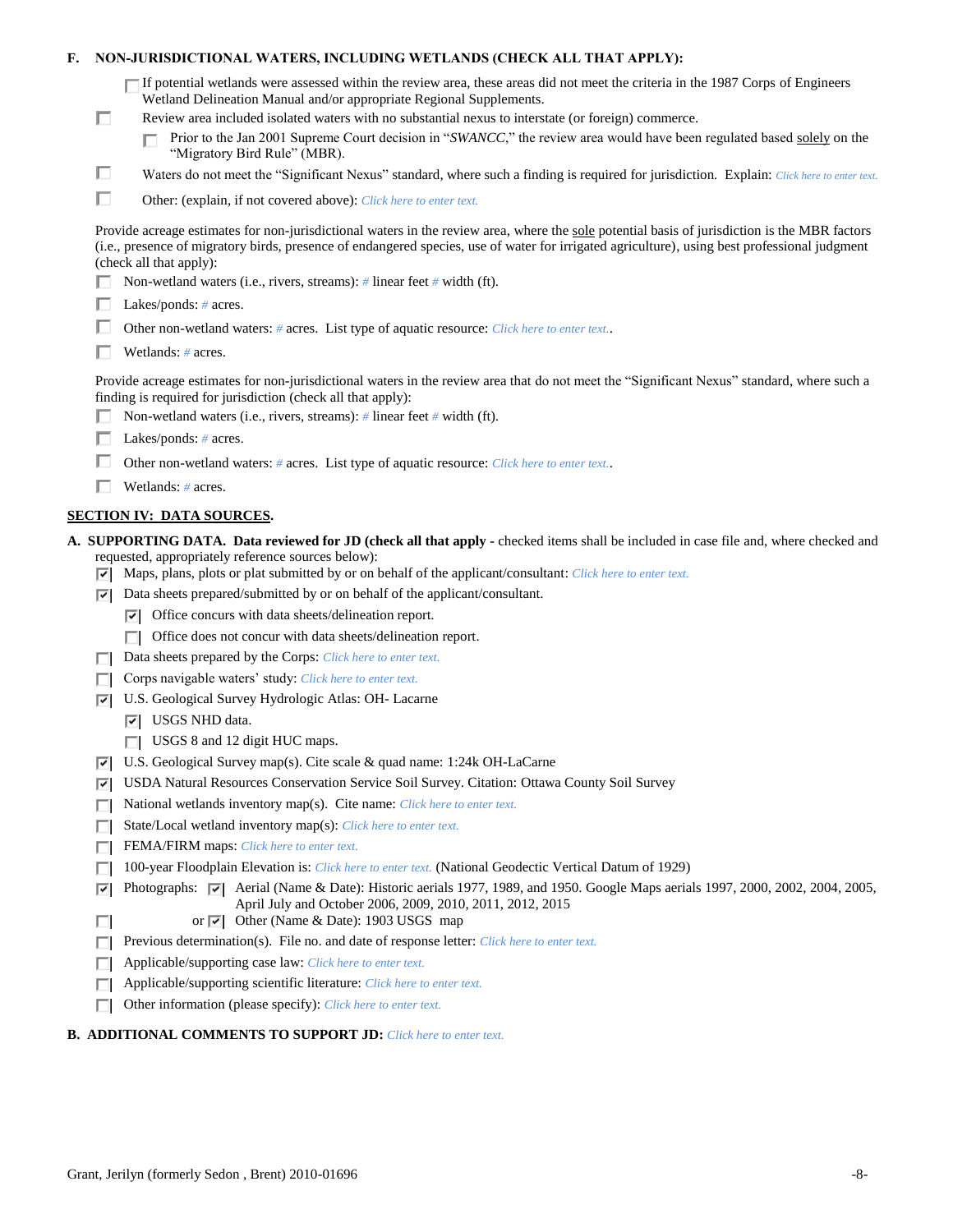| Е. |        | NON-JURISDICTIONAL WATERS, INCLUDING WETLANDS (CHECK ALL THAT APPLY):                                                                                                                                                                                                                                                                                                                                                                            |  |  |  |  |  |
|----|--------|--------------------------------------------------------------------------------------------------------------------------------------------------------------------------------------------------------------------------------------------------------------------------------------------------------------------------------------------------------------------------------------------------------------------------------------------------|--|--|--|--|--|
|    | п      | $\Box$ If potential wetlands were assessed within the review area, these areas did not meet the criteria in the 1987 Corps of Engineers<br>Wetland Delineation Manual and/or appropriate Regional Supplements.<br>Review area included isolated waters with no substantial nexus to interstate (or foreign) commerce.<br>Prior to the Jan 2001 Supreme Court decision in "SWANCC," the review area would have been regulated based solely on the |  |  |  |  |  |
|    |        | "Migratory Bird Rule" (MBR).                                                                                                                                                                                                                                                                                                                                                                                                                     |  |  |  |  |  |
|    | ப      | Waters do not meet the "Significant Nexus" standard, where such a finding is required for jurisdiction. Explain: Click here to enter text.                                                                                                                                                                                                                                                                                                       |  |  |  |  |  |
|    | □      | Other: (explain, if not covered above): Click here to enter text.                                                                                                                                                                                                                                                                                                                                                                                |  |  |  |  |  |
|    |        | Provide acreage estimates for non-jurisdictional waters in the review area, where the sole potential basis of jurisdiction is the MBR factors<br>(i.e., presence of migratory birds, presence of endangered species, use of water for irrigated agriculture), using best professional judgment<br>(check all that apply):                                                                                                                        |  |  |  |  |  |
|    |        | Non-wetland waters (i.e., rivers, streams): # linear feet # width (ft).                                                                                                                                                                                                                                                                                                                                                                          |  |  |  |  |  |
|    |        | Lakes/ponds: $# \, \text{acres.}$                                                                                                                                                                                                                                                                                                                                                                                                                |  |  |  |  |  |
|    |        | Other non-wetland waters: # acres. List type of aquatic resource: Click here to enter text                                                                                                                                                                                                                                                                                                                                                       |  |  |  |  |  |
|    |        | Wetlands: # acres.                                                                                                                                                                                                                                                                                                                                                                                                                               |  |  |  |  |  |
|    |        | Provide acreage estimates for non-jurisdictional waters in the review area that do not meet the "Significant Nexus" standard, where such a<br>finding is required for jurisdiction (check all that apply):                                                                                                                                                                                                                                       |  |  |  |  |  |
|    |        | Non-wetland waters (i.e., rivers, streams): $\#$ linear feet $\#$ width (ft).                                                                                                                                                                                                                                                                                                                                                                    |  |  |  |  |  |
|    |        | Lakes/ponds: $# \, \text{acres.}$                                                                                                                                                                                                                                                                                                                                                                                                                |  |  |  |  |  |
|    |        | Other non-wetland waters: # acres. List type of aquatic resource: Click here to enter text                                                                                                                                                                                                                                                                                                                                                       |  |  |  |  |  |
|    |        | Wetlands: # acres.                                                                                                                                                                                                                                                                                                                                                                                                                               |  |  |  |  |  |
|    |        | <b>SECTION IV: DATA SOURCES.</b>                                                                                                                                                                                                                                                                                                                                                                                                                 |  |  |  |  |  |
|    |        | A. SUPPORTING DATA. Data reviewed for JD (check all that apply - checked items shall be included in case file and, where checked and                                                                                                                                                                                                                                                                                                             |  |  |  |  |  |
|    |        | requested, appropriately reference sources below):<br>$\triangledown$ Maps, plans, plots or plat submitted by or on behalf of the applicant/consultant: Click here to enter text.                                                                                                                                                                                                                                                                |  |  |  |  |  |
|    | ⊡      | Data sheets prepared/submitted by or on behalf of the applicant/consultant.                                                                                                                                                                                                                                                                                                                                                                      |  |  |  |  |  |
|    |        | $\triangleright$ Office concurs with data sheets/delineation report.                                                                                                                                                                                                                                                                                                                                                                             |  |  |  |  |  |
|    |        | $\Box$ Office does not concur with data sheets/delineation report.                                                                                                                                                                                                                                                                                                                                                                               |  |  |  |  |  |
|    |        | Data sheets prepared by the Corps: Click here to enter text.                                                                                                                                                                                                                                                                                                                                                                                     |  |  |  |  |  |
|    |        | Corps navigable waters' study: Click here to enter text.                                                                                                                                                                                                                                                                                                                                                                                         |  |  |  |  |  |
|    | ⊡      | U.S. Geological Survey Hydrologic Atlas: OH- Lacarne                                                                                                                                                                                                                                                                                                                                                                                             |  |  |  |  |  |
|    |        | $ \overline{v} $ USGS NHD data.                                                                                                                                                                                                                                                                                                                                                                                                                  |  |  |  |  |  |
|    |        | $\Box$ USGS 8 and 12 digit HUC maps.                                                                                                                                                                                                                                                                                                                                                                                                             |  |  |  |  |  |
|    | 罓      | U.S. Geological Survey map(s). Cite scale & quad name: 1:24k OH-LaCarne                                                                                                                                                                                                                                                                                                                                                                          |  |  |  |  |  |
|    | M      | USDA Natural Resources Conservation Service Soil Survey. Citation: Ottawa County Soil Survey                                                                                                                                                                                                                                                                                                                                                     |  |  |  |  |  |
|    | г      | National wetlands inventory map(s). Cite name: Click here to enter text.                                                                                                                                                                                                                                                                                                                                                                         |  |  |  |  |  |
|    |        | State/Local wetland inventory map(s): Click here to enter text.                                                                                                                                                                                                                                                                                                                                                                                  |  |  |  |  |  |
|    |        | FEMA/FIRM maps: Click here to enter text.                                                                                                                                                                                                                                                                                                                                                                                                        |  |  |  |  |  |
|    |        | 100-year Floodplain Elevation is: Click here to enter text. (National Geodectic Vertical Datum of 1929)                                                                                                                                                                                                                                                                                                                                          |  |  |  |  |  |
|    | ⊽<br>п | Photographs: $\sqrt{ }$ Aerial (Name & Date): Historic aerials 1977, 1989, and 1950. Google Maps aerials 1997, 2000, 2002, 2004, 2005,<br>April July and October 2006, 2009, 2010, 2011, 2012, 2015<br>or $ \nabla $ Other (Name & Date): 1903 USGS map                                                                                                                                                                                          |  |  |  |  |  |
|    |        | Previous determination(s). File no. and date of response letter: Click here to enter text.                                                                                                                                                                                                                                                                                                                                                       |  |  |  |  |  |
|    | E      | Applicable/supporting case law: Click here to enter text.                                                                                                                                                                                                                                                                                                                                                                                        |  |  |  |  |  |
|    |        | Applicable/supporting scientific literature: Click here to enter text.                                                                                                                                                                                                                                                                                                                                                                           |  |  |  |  |  |
|    |        | Other information (please specify): Click here to enter text.                                                                                                                                                                                                                                                                                                                                                                                    |  |  |  |  |  |
|    |        |                                                                                                                                                                                                                                                                                                                                                                                                                                                  |  |  |  |  |  |

# **B. ADDITIONAL COMMENTS TO SUPPORT JD:** *Click here to enter text.*